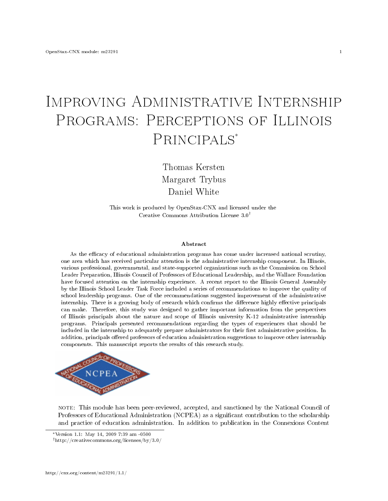# Improving Administrative Internship PROGRAMS: PERCEPTIONS OF ILLINOIS PRINCIPALS<sup>\*</sup>

Thomas Kersten Margaret Trybus Daniel White

This work is produced by OpenStax-CNX and licensed under the Creative Commons Attribution License 3.0†

#### Abstract

As the efficacy of educational administration programs has come under increased national scrutiny, one area which has received particular attention is the administrative internship component. In Illinois, various professional, governmental, and state-supported organizations such as the Commission on School Leader Preparation, Illinois Council of Professors of Educational Leadership, and the Wallace Foundation have focused attention on the internship experience. A recent report to the Illinois General Assembly by the Illinois School Leader Task Force included a series of recommendations to improve the quality of school leadership programs. One of the recommendations suggested improvement of the administrative internship. There is a growing body of research which confirms the difference highly effective principals can make. Therefore, this study was designed to gather important information from the perspectives of Illinois principals about the nature and scope of Illinois university K-12 administrative internship programs. Principals presented recommendations regarding the types of experiences that should be included in the internship to adequately prepare administrators for their first administrative position. In addition, principals offered professors of education administration suggestions to improve other internship components. This manuscript reports the results of this research study.



note: This module has been peer-reviewed, accepted, and sanctioned by the National Council of Professors of Educational Administration (NCPEA) as a significant contribution to the scholarship and practice of education administration. In addition to publication in the Connexions Content

<sup>∗</sup>Version 1.1: May 14, 2009 7:39 am -0500

<sup>†</sup>http://creativecommons.org/licenses/by/3.0/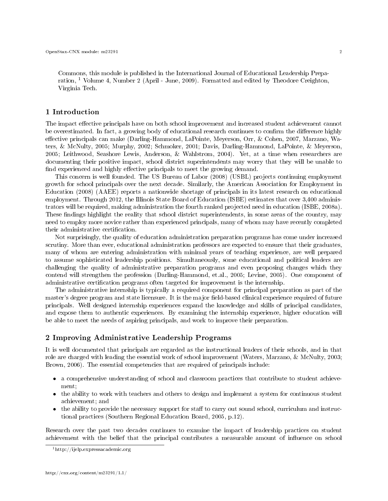Commons, this module is published in the International Journal of Educational Leadership Preparation, <sup>1</sup> Volume 4, Number 2 (April - June, 2009). Formatted and edited by Theodore Creighton, Virginia Tech.

# 1 Introduction

The impact effective principals have on both school improvement and increased student achievement cannot be overestimated. In fact, a growing body of educational research continues to confirm the difference highly effective principals can make (Darling-Hammond, LaPointe, Meyerson, Orr, & Cohen, 2007, Marzano, Waters, & McNulty, 2005; Murphy, 2002; Schmoker, 2001; Davis, Darling-Hammond, LaPointe, & Meyerson, 2005; Leithwood, Seashore Lewis, Anderson, & Wahlstrom, 2004). Yet, at a time when researchers are documenting their positive impact, school district superintendents may worry that they will be unable to find experienced and highly effective principals to meet the growing demand.

This concern is well founded. The US Bureau of Labor (2008) (USBL) projects continuing employment growth for school principals over the next decade. Similarly, the American Association for Employment in Education (2008) (AAEE) reports a nationwide shortage of principals in its latest research on educational employment. Through 2012, the Illinois State Board of Education (ISBE) estimates that over 3,400 administrators will be required, making administration the fourth ranked projected need in education (ISBE, 2008a). These findings highlight the reality that school district superintendents, in some areas of the country, may need to employ more novice rather than experienced principals, many of whom may have recently completed their administrative certification.

Not surprisingly, the quality of education administration preparation programs has come under increased scrutiny. More than ever, educational administration professors are expected to ensure that their graduates, many of whom are entering administration with minimal years of teaching experience, are well prepared to assume sophisticated leadership positions. Simultaneously, some educational and political leaders are challenging the quality of administrative preparation programs and even proposing changes which they contend will strengthen the profession (Darling-Hammond, et.al., 2005; Levine, 2005). One component of administrative certification programs often targeted for improvement is the internship.

The administrative internship is typically a required component for principal preparation as part of the master's degree program and state licensure. It is the major field-based clinical experience required of future principals. Well designed internship experiences expand the knowledge and skills of principal candidates, and expose them to authentic experiences. By examining the internship experience, higher education will be able to meet the needs of aspiring principals, and work to improve their preparation.

# 2 Improving Administrative Leadership Programs

It is well documented that principals are regarded as the instructional leaders of their schools, and in that role are charged with leading the essential work of school improvement (Waters, Marzano, & McNulty, 2003; Brown, 2006). The essential competencies that are required of principals include:

- a comprehensive understanding of school and classroom practices that contribute to student achievement;
- the ability to work with teachers and others to design and implement a system for continuous student achievement; and
- the ability to provide the necessary support for staff to carry out sound school, curriculum and instructional practices (Southern Regional Education Board, 2005, p.12).

Research over the past two decades continues to examine the impact of leadership practices on student achievement with the belief that the principal contributes a measurable amount of influence on school

<sup>1</sup>http://ijelp.expressacademic.org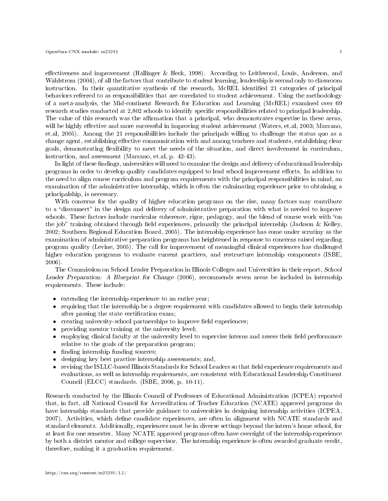effectiveness and improvement (Hallinger & Heck, 1998). According to Leithwood, Louis, Anderson, and Wahlstrom (2004), of all the factors that contribute to student learning, leadership is second only to classroom instruction. In their quantitative synthesis of the research, McREL identified 21 categories of principal behaviors referred to as responsibilities that are correlated to student achievement. Using the methodology of a meta-analysis, the Mid-continent Research for Education and Learning (McREL) examined over 69 research studies conducted at 2,802 schools to identify specific responsibilities related to principal leadership.

The value of this research was the affirmation that a principal, who demonstrates expertise in these areas, will be highly effective and more successful in improving student achievement (Waters, et.al, 2003; Marzano, et.al, 2005). Among the 21 responsibilities include the principals willing to challenge the status quo as a change agent, establishing effective communication with and among teachers and students, establishing clear goals, demonstrating flexibility to meet the needs of the situation, and direct involvement in curriculum, instruction, and assessment (Marzano, et.al, p. 42-43).

In light of these findings, universities will need to examine the design and delivery of educational leadership programs in order to develop quality candidates equipped to lead school improvement efforts. In addition to the need to align course curriculum and program requirements with the principal responsibilities in mind, an examination of the administrative internship, which is often the culminating experience prior to obtaining a principalship, is necessary.

With concerns for the quality of higher education programs on the rise, many factors may contribute to a "disconnect" in the design and delivery of administrative preparation with what is needed to improve schools. These factors include curricular coherence, rigor, pedagogy, and the blend of course work with "on the job" training obtained through field experiences, primarily the principal internship (Jackson & Kelley, 2002; Southern Regional Education Board, 2005). The internship experience has come under scrutiny as the examination of administrative preparation programs has heightened in response to concerns raised regarding program quality (Levine, 2005). The call for improvement of meaningful clinical experiences has challenged higher education programs to evaluate current practices, and restructure internship components (ISBE, 2006).

The Commission on School Leader Preparation in Illinois Colleges and Universities in their report, School Leader Preparation: A Blueprint for Change (2006), recommends seven areas be included in internship requirements. These include:

- extending the internship experience to an entire year;
- requiring that the internship be a degree requirement with candidates allowed to begin their internship after passing the state certification exam;
- $\bullet$  creating university-school partnerships to improve field experiences;
- providing mentor training at the university level;
- $\bullet$  employing clinical faculty at the university level to supervise interns and assess their field performance relative to the goals of the preparation program;
- finding internship funding sources;
- designing key best practice internship assessments; and,
- revising the ISLLC-based Illinois Standards for School Leaders so that field experience requirements and evaluations, as well as internship requirements, are consistent with Educational Leadership Constituent Council (ELCC) standards. (ISBE, 2006, p. 10-11).

Research conducted by the Illinois Council of Professors of Educational Administration (ICPEA) reported that, in fact, all National Council for Accreditation of Teacher Education (NCATE) approved programs do have internship standards that provide guidance to universities in designing internship activities (ICPEA, 2007). Activities, which define candidate experiences, are often in alignment with NCATE standards and standard elements. Additionally, experiences must be in diverse settings beyond the intern's home school, for at least for one semester. Many NCATE approved programs often have oversight of the internship experience by both a district mentor and college supervisor. The internship experience is often awarded graduate credit, therefore, making it a graduation requirement.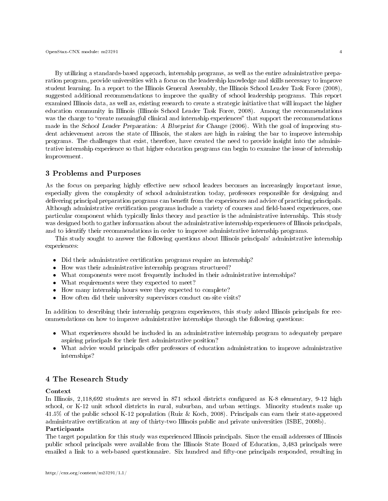By utilizing a standards-based approach, internship programs, as well as the entire administrative preparation program, provide universities with a focus on the leadership knowledge and skills necessary to improve student learning. In a report to the Illinois General Assembly, the Illinois School Leader Task Force (2008), suggested additional recommendations to improve the quality of school leadership programs. This report examined Illinois data, as well as, existing research to create a strategic initiative that will impact the higher education community in Illinois (Illinois School Leader Task Force, 2008). Among the recommendations was the charge to "create meaningful clinical and internship experiences" that support the recommendations made in the School Leader Preparation: A Blueprint for Change (2006). With the goal of improving student achievement across the state of Illinois, the stakes are high in raising the bar to improve internship programs. The challenges that exist, therefore, have created the need to provide insight into the administrative internship experience so that higher education programs can begin to examine the issue of internship improvement.

# 3 Problems and Purposes

As the focus on preparing highly effective new school leaders becomes an increasingly important issue, especially given the complexity of school administration today, professors responsible for designing and delivering principal preparation programs can benefit from the experiences and advice of practicing principals. Although administrative certification programs include a variety of courses and field-based experiences, one particular component which typically links theory and practice is the administrative internship. This study was designed both to gather information about the administrative internship experiences of Illinois principals, and to identify their recommendations in order to improve administrative internship programs.

This study sought to answer the following questions about Illinois principals' administrative internship experiences:

- Did their administrative certification programs require an internship?
- How was their administrative internship program structured?
- What components were most frequently included in their administrative internships?
- What requirements were they expected to meet?
- How many internship hours were they expected to complete?
- How often did their university supervisors conduct on-site visits?

In addition to describing their internship program experiences, this study asked Illinois principals for recommendations on how to improve administrative internships through the following questions:

- What experiences should be included in an administrative internship program to adequately prepare aspiring principals for their first administrative position?
- What advice would principals offer professors of education administration to improve administrative internships?

# 4 The Research Study

# Context

In Illinois, 2,118,692 students are served in 871 school districts configured as K-8 elementary, 9-12 high school, or K-12 unit school districts in rural, suburban, and urban settings. Minority students make up 41.5% of the public school K-12 population (Ruiz & Koch, 2008). Principals can earn their state-approved administrative certification at any of thirty-two Illinois public and private universities (ISBE, 2008b). Participants

The target population for this study was experienced Illinois principals. Since the email addresses of Illinois public school principals were available from the Illinois State Board of Education, 3,483 principals were emailed a link to a web-based questionnaire. Six hundred and fifty-one principals responded, resulting in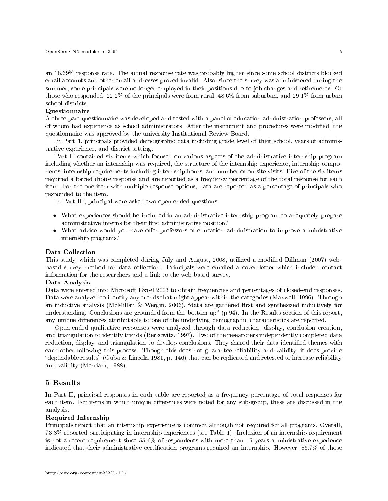an 18.69% response rate. The actual response rate was probably higher since some school districts blocked email accounts and other email addresses proved invalid. Also, since the survey was administered during the summer, some principals were no longer employed in their positions due to job changes and retirements. Of those who responded, 22.2% of the principals were from rural, 48.6% from suburban, and 29.1% from urban school districts.

#### Questionnaire

A three-part questionnaire was developed and tested with a panel of education administration professors, all of whom had experience as school administrators. After the instrument and procedures were modied, the questionnaire was approved by the university Institutional Review Board.

In Part 1, principals provided demographic data including grade level of their school, years of administrative experience, and district setting.

Part II contained six items which focused on various aspects of the administrative internship program including whether an internship was required, the structure of the internship experience, internship components, internship requirements including internship hours, and number of on-site visits. Five of the six items required a forced choice response and are reported as a frequency percentage of the total response for each item. For the one item with multiple response options, data are reported as a percentage of principals who responded to the item.

In Part III, principal were asked two open-ended questions:

- What experiences should be included in an administrative internship program to adequately prepare administrative interns for their first administrative position?
- What advice would you have offer professors of education administration to improve administrative internship programs?

#### Data Collection

This study, which was completed during July and August, 2008, utilized a modified Dillman (2007) webbased survey method for data collection. Principals were emailed a cover letter which included contact information for the researchers and a link to the web-based survey.

#### Data Analysis

Data were entered into Microsoft Excel 2003 to obtain frequencies and percentages of closed-end responses. Data were analyzed to identify any trends that might appear within the categories (Maxwell, 1996). Through an inductive analysis (McMillan & Wergin, 2006), "data are gathered first and synthesized inductively for understanding. Conclusions are grounded from the bottom up" (p.94). In the Results section of this report, any unique differences attributable to one of the underlying demographic characteristics are reported.

Open-ended qualitative responses were analyzed through data reduction, display, conclusion creation, and triangulation to identify trends (Berkowitz, 1997). Two of the researchers independently completed data reduction, display, and triangulation to develop conclusions. They shared their data-identified themes with each other following this process. Though this does not guarantee reliability and validity, it does provide "dependable results" (Guba & Lincoln 1981, p. 146) that can be replicated and retested to increase reliability and validity (Merriam, 1988).

# 5 Results

In Part II, principal responses in each table are reported as a frequency percentage of total responses for each item. For items in which unique differences were noted for any sub-group, these are discussed in the analysis.

# Required Internship

Principals report that an internship experience is common although not required for all programs. Overall, 73.8% reported participating in internship experiences (see Table 1). Inclusion of an internship requirement is not a recent requirement since 55.6% of respondents with more than 15 years administrative experience indicated that their administrative certification programs required an internship. However, 86.7% of those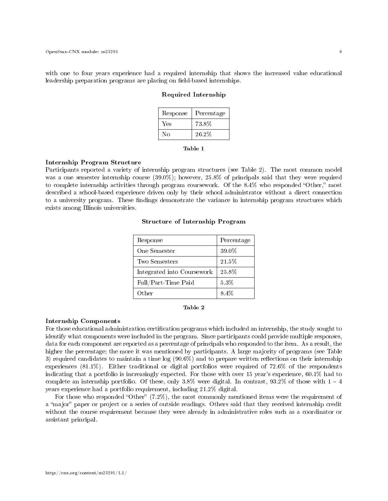with one to four years experience had a required internship that shows the increased value educational leadership preparation programs are placing on field-based internships.

#### Required Internship

| Response | Percentage |
|----------|------------|
| Yes      | 73.8%      |
| Nο       | 26.2%      |

| anie |  |
|------|--|
|      |  |

#### Internship Program Structure

Participants reported a variety of internship program structures (see Table 2). The most common model was a one semester internship course (39.0%); however, 25.8% of principals said that they were required to complete internship activities through program coursework. Of the  $8.4\%$  who responded "Other," most described a school-based experience driven only by their school administrator without a direct connection to a university program. These findings demonstrate the variance in internship program structures which exists among Illinois universities.

| Response                   | Percentage |
|----------------------------|------------|
| One Semester               | 39.0%      |
| Two Semesters              | 21.5%      |
| Integrated into Coursework | 25.8%      |
| Full/Part-Time Paid        | 5.3%       |
| Other                      | 8.4%       |

#### Structure of Internship Program



#### Internship Components

For those educational administration certification programs which included an internship, the study sought to identify what components were included in the program. Since participants could provide multiple responses, data for each component are reported as a percentage of principals who responded to the item. As a result, the higher the percentage; the more it was mentioned by participants. A large majority of programs (see Table 3) required candidates to maintain a time  $log(90.6\%)$  and to prepare written reflections on their internship experiences (81.1%). Either traditional or digital portfolios were required of 72.6% of the respondents indicating that a portfolio is increasingly expected. For those with over 15 year's experience, 60.1% had to complete an internship portfolio. Of these, only  $3.8\%$  were digital. In contrast,  $93.2\%$  of those with  $1 - 4$ years experience had a portfolio requirement, including 21.2% digital.

For those who responded "Other"  $(7.2\%)$ , the most commonly mentioned items were the requirement of a "major" paper or project or a series of outside readings. Others said that they received internship credit without the course requirement because they were already in administrative roles such as a coordinator or assistant principal.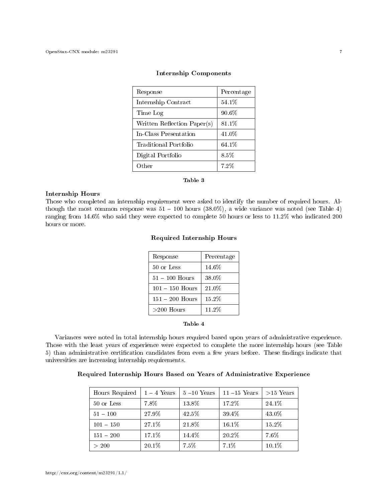| Response                    | Percentage |
|-----------------------------|------------|
| Internship Contract         | $54.1\%$   |
| Time Log                    | 90.6%      |
| Written Reflection Paper(s) | 81.1%      |
| In-Class Presentation       | 41.0%      |
| Traditional Portfolio       | 64.1%      |
| Digital Portfolio           | 8.5%       |
| Other                       | 7.2%       |

#### Internship Components

#### Table 3

#### Internship Hours

Those who completed an internship requirement were asked to identify the number of required hours. Although the most common response was  $51 - 100$  hours  $(38.0\%)$ , a wide variance was noted (see Table 4) ranging from 14.6% who said they were expected to complete 50 hours or less to 11.2% who indicated 200 hours or more.

# Required Internship Hours

| Response          | Percentage |
|-------------------|------------|
| 50 or Less        | $14.6\%$   |
| $51 - 100$ Hours  | 38.0%      |
| $101 - 150$ Hours | 21.0%      |
| $151 - 200$ Hours | 15.2%      |
| $>200$ Hours      | 11.2%      |

# Table 4

Variances were noted in total internship hours required based upon years of administrative experience. Those with the least years of experience were expected to complete the more internship hours (see Table 5) than administrative certification candidates from even a few years before. These findings indicate that universities are increasing internship requirements.

## Required Internship Hours Based on Years of Administrative Experience

| Hours Required | $1-4$ Years | $5-10$ Years | $11 - 15$ Years | $>15$ Years |
|----------------|-------------|--------------|-----------------|-------------|
| 50 or Less     | 7.8%        | 13.8%        | 17.2%           | 24.1%       |
| $51 - 100$     | 27.9%       | 42.5%        | 39.4%           | 43.0%       |
| $101 - 150$    | 27.1%       | 21.8%        | 16.1%           | 15.2%       |
| $151 - 200$    | 17.1%       | 14.4%        | 20.2%           | $7.6\%$     |
| > 200          | 20.1%       | 7.5%         | 7.1%            | 10.1%       |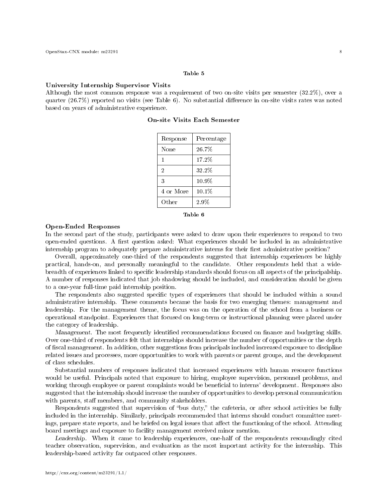#### Table 5

#### University Internship Supervisor Visits

Although the most common response was a requirement of two on-site visits per semester (32.2%), over a quarter  $(26.7\%)$  reported no visits (see Table 6). No substantial difference in on-site visits rates was noted based on years of administrative experience.

| Response       | Percentage |
|----------------|------------|
| None           | 26.7%      |
| 1              | 17.2%      |
| $\overline{2}$ | 32.2%      |
| 3              | $10.9\%$   |
| 4 or More      | 10.1%      |
| Other          | $2.9\%$    |

On-site Visits Each Semester



#### Open-Ended Responses

In the second part of the study, participants were asked to draw upon their experiences to respond to two open-ended questions. A first question asked: What experiences should be included in an administrative internship program to adequately prepare administrative interns for their first administrative position?

Overall, approximately one-third of the respondents suggested that internship experiences be highly practical, hands-on, and personally meaningful to the candidate. Other respondents held that a widebreadth of experiences linked to specific leadership standards should focus on all aspects of the principalship. A number of responses indicated that job shadowing should be included, and consideration should be given to a one-year full-time paid internship position.

The respondents also suggested specific types of experiences that should be included within a sound administrative internship. These comments became the basis for two emerging themes: management and leadership. For the management theme, the focus was on the operation of the school from a business or operational standpoint. Experiences that focused on long-term or instructional planning were placed under the category of leadership.

Management. The most frequently identified recommendations focused on finance and budgeting skills. Over one-third of respondents felt that internships should increase the number of opportunities or the depth of fiscal management. In addition, other suggestions from principals included increased exposure to discipline related issues and processes, more opportunities to work with parents or parent groups, and the development of class schedules.

Substantial numbers of responses indicated that increased experiences with human resource functions would be useful. Principals noted that exposure to hiring, employee supervision, personnel problems, and working through employee or parent complaints would be beneficial to interns' development. Responses also suggested that the internship should increase the number of opportunities to develop personal communication with parents, staff members, and community stakeholders.

Respondents suggested that supervision of "bus duty," the cafeteria, or after school activities be fully included in the internship. Similarly, principals recommended that interns should conduct committee meetings, prepare state reports, and be briefed on legal issues that affect the functioning of the school. Attending board meetings and exposure to facility management received minor mention.

Leadership. When it came to leadership experiences, one-half of the respondents resoundingly cited teacher observation, supervision, and evaluation as the most important activity for the internship. This leadership-based activity far outpaced other responses.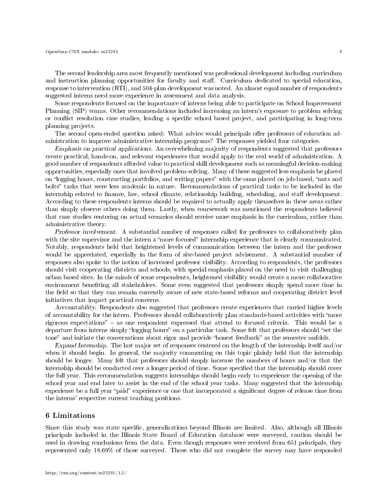The second leadership area most frequently mentioned was professional development including curriculum and instruction planning opportunities for faculty and staff. Curriculum dedicated to special education, response to intervention (RTI), and 504-plan development was noted. An almost equal number of respondents suggested interns need more experience in assessment and data analysis.

Some respondents focused on the importance of interns being able to participate on School Improvement Planning (SIP) teams. Other recommendations included increasing an intern's exposure to problem solving or conflict resolution case studies, leading a specific school based project, and participating in long-term planning projects.

The second open-ended question asked: What advice would principals offer professors of education administration to improve administrative internship programs? The responses yielded four categories.

Emphasis on practical applications. An overwhelming majority of respondents suggested that professors create practical, hands-on, and relevant experiences that would apply to the real world of administration. A good number of respondents afforded value to practical skill development such as meaningful decision-making opportunities, especially ones that involved problem-solving. Many of these suggested less emphasis be placed on "logging hours, constructing portfolios, and writing papers" with the onus placed on job-based, "nuts and bolts" tasks that were less academic in nature. Recommendations of practical tasks to be included in the internship related to finance, law, school climate, relationship building, scheduling, and staff development. According to these respondents interns should be required to actually apply themselves in these areas rather than simply observe others doing them. Lastly, when coursework was mentioned the respondents believed that case studies centering on actual scenarios should receive more emphasis in the curriculum, rather than administrative theory.

Professor involvement. A substantial number of responses called for professors to collaboratively plan with the site supervisor and the intern a "more focused" internship experience that is clearly communicated. Notably, respondents held that heightened levels of communication between the intern and the professor would be appreciated, especially in the form of site-based project advisement. A substantial number of responses also spoke to the notion of increased professor visibility. According to respondents, the professors should visit cooperating districts and schools, with special emphasis placed on the need to visit challenging urban based sites. In the minds of some respondents, heightened visibility would create a more collaborative environment beneting all stakeholders. Some even suggested that professors simply spend more time in the field so that they can remain currently aware of new state-based reforms and cooperating district level initiatives that impact practical concerns.

Accountability. Respondents also suggested that professors create experiences that carried higher levels of accountability for the intern. Professors should collaboratively plan standards-based activities with more rigorous expectations"  $-$  as one respondent expressed that attend to focused criteria. This would be a departure from interns simply "logging hours" on a particular task. Some felt that professors should "set the tone" and initiate the conversations about rigor and provide "honest feedback" as the semester unfolds.

Expand Internship. The last major set of responses centered on the length of the internship itself and/or when it should begin. In general, the majority commenting on this topic plainly held that the internship should be longer. Many felt that professors should simply increase the numbers of hours and/or that the internship should be conducted over a longer period of time. Some specified that the internship should cover the full year. This recommendation suggests internships should begin early to experience the opening of the school year and end later to assist in the end of the school year tasks. Many suggested that the internship experience be a full year "paid" experience or one that incorporated a significant degree of release time from the interns' respective current teaching positions.

#### 6 Limitations

Since this study was state specific, generalizations beyond Illinois are limited. Also, although all Illinois principals included in the Illinois State Board of Education database were surveyed, caution should be used in drawing conclusions from the data. Even though responses were received from 651 principals, they represented only 18.69% of those surveyed. Those who did not complete the survey may have responded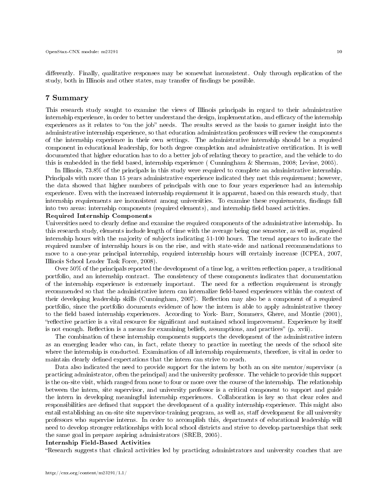differently. Finally, qualitative responses may be somewhat inconsistent. Only through replication of the study, both in Illinois and other states, may transfer of findings be possible.

## 7 Summary

This research study sought to examine the views of Illinois principals in regard to their administrative internship experience, in order to better understand the design, implementation, and efficacy of the internship experiences as it relates to "on the job" needs. The results served as the basis to garner insight into the administrative internship experience, so that education administration professors will review the components of the internship experience in their own settings. The administrative internship should be a required component in educational leadership, for both degree completion and administrative certication. It is well documented that higher education has to do a better job of relating theory to practice, and the vehicle to do this is embedded in the field based, internship experience ( Cunningham  $\&$  Sherman, 2008; Levine, 2005).

In Illinois, 73.8% of the principals in this study were required to complete an administrative internship. Principals with more than 15 years administrative experience indicated they met this requirement; however, the data showed that higher numbers of principals with one to four years experience had an internship experience. Even with the increased internship requirement it is apparent, based on this research study, that internship requirements are inconsistent among universities. To examine these requirements, findings fall into two areas: internship components (required elements), and internship field based activities.

# Required Internship Components

Universities need to clearly define and examine the required components of the administrative internship. In this research study, elements include length of time with the average being one semester, as well as, required internship hours with the majority of subjects indicating 51-100 hours. The trend appears to indicate the required number of internship hours is on the rise, and with state-wide and national recommendations to move to a one-year principal internship, required internship hours will certainly increase (ICPEA, 2007, Illinois School Leader Task Force, 2008).

Over 50% of the principals reported the development of a time log, a written reflection paper, a traditional portfolio, and an internship contract. The consistency of these components indicates that documentation of the internship experience is extremely important. The need for a reflection requirement is strongly recommended so that the administrative intern can internalize field-based experiences within the context of their developing leadership skills (Cunningham, 2007). Reflection may also be a component of a required portfolio, since the portfolio documents evidence of how the intern is able to apply administrative theory to the field based internship experiences. According to York- Barr, Sommers, Ghere, and Montie (2001), "reflective practice is a vital resource for significant and sustained school improvement. Experience by itself is not enough. Reflection is a means for examining beliefs, assumptions, and practices" (p. xvii).

The combination of these internship components supports the development of the administrative intern as an emerging leader who can, in fact, relate theory to practice in meeting the needs of the school site where the internship is conducted. Examination of all internship requirements, therefore, is vital in order to maintain clearly defined expectations that the intern can strive to reach.

Data also indicated the need to provide support for the intern by both an on site mentor/supervisor (a practicing administrator, often the principal) and the university professor. The vehicle to provide this support is the on-site visit, which ranged from none to four or more over the course of the internship. The relationship between the intern, site supervisor, and university professor is a critical component to support and guide the intern in developing meaningful internship experiences. Collaboration is key so that clear roles and responsibilities are defined that support the development of a quality internship experience. This might also entail establishing an on-site site supervisor-training program, as well as, staff development for all university professors who supervise interns. In order to accomplish this, departments of educational leadership will need to develop stronger relationships with local school districts and strive to develop partnerships that seek the same goal in prepare aspiring administrators (SREB, 2005).

#### Internship Field-Based Activities

Research suggests that clinical activities led by practicing administrators and university coaches that are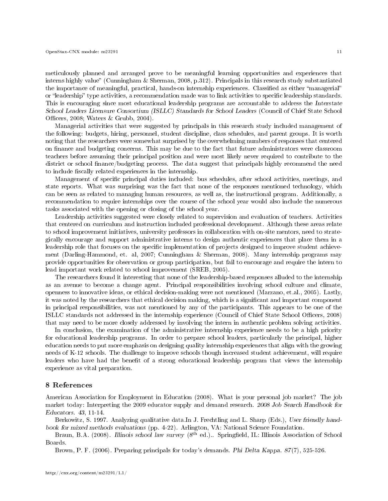meticulously planned and arranged prove to be meaningful learning opportunities and experiences that interns highly value" (Cunningham & Sherman, 2008, p.312). Principals in this research study substantiated the importance of meaningful, practical, hands-on internship experiences. Classified as either "managerial" or "leadership" type activities, a recommendation made was to link activities to specific leadership standards. This is encouraging since most educational leadership programs are accountable to address the Interstate School Leaders Licensure Consortium (ISLLC) Standards for School Leaders (Council of Chief State School Officers,  $2008$ ; Waters & Grubb,  $2004$ ).

Managerial activities that were suggested by principals in this research study included management of the following: budgets, hiring, personnel, student discipline, class schedules, and parent groups. It is worth noting that the researchers were somewhat surprised by the overwhelming numbers of responses that centered on finance and budgeting concerns. This may be due to the fact that future administrators were classroom teachers before assuming their principal position and were most likely never required to contribute to the district or school finance/budgeting process. The data suggest that principals highly recommend the need to include fiscally related experiences in the internship.

Management of specific principal duties included: bus schedules, after school activities, meetings, and state reports. What was surprising was the fact that none of the responses mentioned technology, which can be seen as related to managing human resources, as well as, the instructional program. Additionally, a recommendation to require internships over the course of the school year would also include the numerous tasks associated with the opening or closing of the school year.

Leadership activities suggested were closely related to supervision and evaluation of teachers. Activities that centered on curriculum and instruction included professional development. Although these areas relate to school improvement initiatives, university professors in collaboration with on-site mentors, need to strategically encourage and support administrative interns to design authentic experiences that place them in a leadership role that focuses on the specific implementation of projects designed to improve student achievement (Darling-Hammond, et. al, 2007; Cunningham & Sherman, 2008). Many internship programs may provide opportunities for observation or group participation, but fail to encourage and require the intern to lead important work related to school improvement (SREB, 2005).

The researchers found it interesting that none of the leadership-based responses alluded to the internship as an avenue to become a change agent. Principal responsibilities involving school culture and climate, openness to innovative ideas, or ethical decision-making were not mentioned (Marzano, et.al., 2005). Lastly, it was noted by the researchers that ethical decision making, which is a signicant and important component in principal responsibilities, was not mentioned by any of the participants. This appears to be one of the ISLLC standards not addressed in the internship experience (Council of Chief State School Officers, 2008) that may need to be more closely addressed by involving the intern in authentic problem solving activities.

In conclusion, the examination of the administrative internship experience needs to be a high priority for educational leadership programs. In order to prepare school leaders, particularly the principal, higher education needs to put more emphasis on designing quality internship experiences that align with the growing needs of K-12 schools. The challenge to improve schools though increased student achievement, will require leaders who have had the benefit of a strong educational leadership program that views the internship experience as vital preparation.

#### 8 References

American Association for Employment in Education (2008). What is your personal job market? The job market today: Interpreting the 2009 educator supply and demand research. 2008 Job Search Handbook for Educators. 43, 11-14.

Berkowitz, S. 1997. Analyzing qualitative data.In J. Frechtling and L. Sharp (Eds.), User friendly handbook for mixed methods evaluations (pp. 4-22). Arlington, VA: National Science Foundation.

Braun, B.A. (2008). *Illinois school law survey* (8<sup>th</sup> ed.). Springfield, IL: Illinois Association of School Boards.

Brown, P. F. (2006). Preparing principals for today's demands. Phi Delta Kappa. 87(7), 525-526.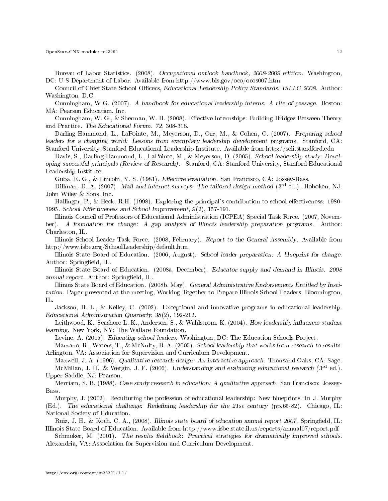Bureau of Labor Statistics. (2008). Occupational outlook handbook, 2008-2009 edition. Washington, DC: U S Department of Labor. Available from http://www.bls.gov/oco/ocos007.htm

Council of Chief State School Officers, Educational Leadership Policy Standards: ISLLC 2008. Author: Washington, D.C.

Cunningham, W.G. (2007). A handbook for educational leadership interns: A rite of passage. Boston: MA: Pearson Education, Inc.

Cunningham, W. G., & Sherman, W. H. (2008). Effective Internships: Building Bridges Between Theory and Practice. The Educational Forum. 72, 308-318.

Darling-Hammond, L., LaPointe, M., Meyerson, D., Orr, M., & Cohen, C. (2007). Preparing school leaders for a changing world: Lessons from exemplary leadership development programs. Stanford, CA: Stanford University, Stanford Educational Leadership Institute. Available from http://seli.standford.edu

Davis, S., Darling-Hammond, L., LaPointe, M., & Meyerson, D. (2005). School leadership study: Developing successful principals (Review of Research). Stanford, CA: Stanford University, Stanford Educational Leadership Institute.

Guba, E. G., & Lincoln, Y. S. (1981). *Effective evaluation*. San Francisco, CA: Jossey-Bass.

Dillman, D. A. (2007). Mail and internet surveys: The tailored design method  $3^{rd}$  ed.). Hoboken, NJ: John Wiley & Sons, Inc.

Hallinger, P., & Heck, R.H. (1998). Exploring the principal's contribution to school effectiveness: 1980-1995. School Effectiveness and School Improvement,  $9(2)$ , 157-191.

Illinois Council of Professors of Educational Administration (ICPEA) Special Task Force. (2007, November). A foundation for change: A gap analysis of Illinois leadership preparation programs. Author: Charleston, IL.

Illinois School Leader Task Force. (2008, February). Report to the General Assembly. Available from http://www.isbe.org/SchoolLeadership/default.htm.

Illinois State Board of Education. (2006, August). School leader preparation: A blueprint for change. Author: Springfield, IL.

Illinois State Board of Education. (2008a, December). Educator supply and demand in Illinois. 2008 annual report. Author: Springfield, IL.

Illinois State Board of Education. (2008b, May). General Administrative Endorsements Entitled by Institution. Paper presented at the meeting, Working Together to Prepare Illinois School Leaders, Bloomington, IL.

Jackson, B. L., & Kelley, C. (2002). Exceptional and innovative programs in educational leadership. Educational Administration Quarterly, 38(2), 192-212.

Leithwood, K., Seashore L. K., Anderson, S., & Wahlstrom, K. (2004). How leadership influences student learning. New York, NY: The Wallace Foundation.

Levine, A. (2005). Educating school leaders. Washington, DC: The Education Schools Project.

Marzano, R., Waters, T., & McNulty, B. A. (2005). School leadership that works from research to results. Arlington, VA: Association for Supervision and Curriculum Development.

Maxwell, J. A. (1996). Qualitative research design: An interactive approach. Thousand Oaks, CA: Sage. McMillan, J. H., & Wergin, J. F. (2006). Understanding and evaluating educational research (3rd ed.). Upper Saddle, NJ: Pearson.

Merriam, S. B. (1988). Case study research in education: A qualitative approach. San Francisco: Jossey-Bass.

Murphy, J. (2002). Reculturing the profession of educational leadership: New blueprints. In J. Murphy (Ed.). The educational challenge: Redening leadership for the 21st century (pp.65-82). Chicago, IL: National Society of Education.

Ruiz, J. H., & Koch, C. A., (2008). Illinois state board of education annual report 2007. Springfield, IL: Illinois State Board of Education. Available from http://www.isbe.state.il.us/reports/annual07/report.pdf

Schmoker, M. (2001). The results fieldbook: Practical strategies for dramatically improved schools. Alexandria, VA: Association for Supervision and Curriculum Development.